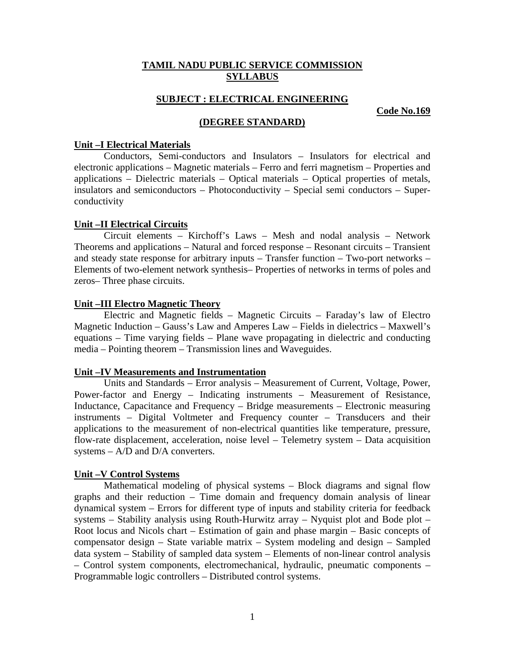# **TAMIL NADU PUBLIC SERVICE COMMISSION SYLLABUS**

### **SUBJECT : ELECTRICAL ENGINEERING**

**Code No.169**

# **(DEGREE STANDARD)**

#### **Unit –I Electrical Materials**

Conductors, Semi-conductors and Insulators – Insulators for electrical and electronic applications – Magnetic materials – Ferro and ferri magnetism – Properties and applications – Dielectric materials – Optical materials – Optical properties of metals, insulators and semiconductors – Photoconductivity – Special semi conductors – Superconductivity

### **Unit –II Electrical Circuits**

Circuit elements – Kirchoff's Laws – Mesh and nodal analysis – Network Theorems and applications – Natural and forced response – Resonant circuits – Transient and steady state response for arbitrary inputs – Transfer function – Two-port networks – Elements of two-element network synthesis– Properties of networks in terms of poles and zeros– Three phase circuits.

### **Unit –III Electro Magnetic Theory**

Electric and Magnetic fields – Magnetic Circuits – Faraday's law of Electro Magnetic Induction – Gauss's Law and Amperes Law – Fields in dielectrics – Maxwell's equations – Time varying fields – Plane wave propagating in dielectric and conducting media – Pointing theorem – Transmission lines and Waveguides.

#### **Unit –IV Measurements and Instrumentation**

Units and Standards – Error analysis – Measurement of Current, Voltage, Power, Power-factor and Energy – Indicating instruments – Measurement of Resistance, Inductance, Capacitance and Frequency – Bridge measurements – Electronic measuring instruments – Digital Voltmeter and Frequency counter – Transducers and their applications to the measurement of non-electrical quantities like temperature, pressure, flow-rate displacement, acceleration, noise level – Telemetry system – Data acquisition systems – A/D and D/A converters.

### **Unit –V Control Systems**

Mathematical modeling of physical systems – Block diagrams and signal flow graphs and their reduction – Time domain and frequency domain analysis of linear dynamical system – Errors for different type of inputs and stability criteria for feedback systems – Stability analysis using Routh-Hurwitz array – Nyquist plot and Bode plot – Root locus and Nicols chart – Estimation of gain and phase margin – Basic concepts of compensator design – State variable matrix – System modeling and design – Sampled data system – Stability of sampled data system – Elements of non-linear control analysis – Control system components, electromechanical, hydraulic, pneumatic components – Programmable logic controllers – Distributed control systems.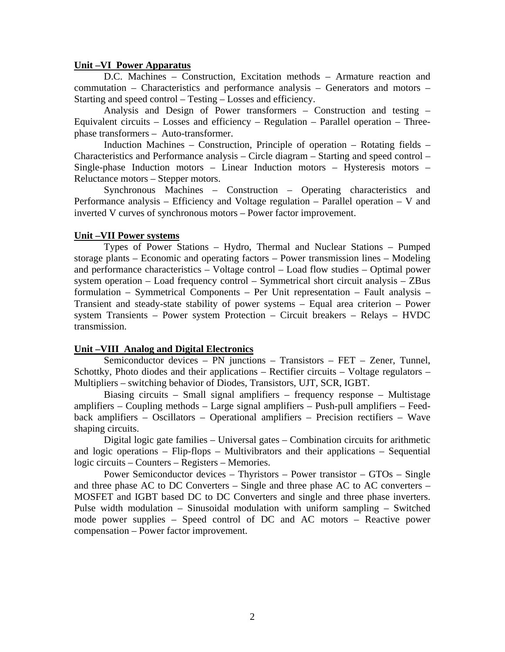#### **Unit –VI Power Apparatus**

D.C. Machines – Construction, Excitation methods – Armature reaction and commutation – Characteristics and performance analysis – Generators and motors – Starting and speed control – Testing – Losses and efficiency.

Analysis and Design of Power transformers – Construction and testing – Equivalent circuits – Losses and efficiency – Regulation – Parallel operation – Threephase transformers – Auto-transformer.

Induction Machines – Construction, Principle of operation – Rotating fields – Characteristics and Performance analysis – Circle diagram – Starting and speed control – Single-phase Induction motors – Linear Induction motors – Hysteresis motors – Reluctance motors – Stepper motors.

Synchronous Machines – Construction – Operating characteristics and Performance analysis – Efficiency and Voltage regulation – Parallel operation – V and inverted V curves of synchronous motors – Power factor improvement.

#### **Unit –VII Power systems**

Types of Power Stations – Hydro, Thermal and Nuclear Stations – Pumped storage plants – Economic and operating factors – Power transmission lines – Modeling and performance characteristics – Voltage control – Load flow studies – Optimal power system operation – Load frequency control – Symmetrical short circuit analysis – ZBus formulation – Symmetrical Components – Per Unit representation – Fault analysis – Transient and steady-state stability of power systems – Equal area criterion – Power system Transients – Power system Protection – Circuit breakers – Relays – HVDC transmission.

### **Unit –VIII Analog and Digital Electronics**

Semiconductor devices – PN junctions – Transistors – FET – Zener, Tunnel, Schottky, Photo diodes and their applications – Rectifier circuits – Voltage regulators – Multipliers – switching behavior of Diodes, Transistors, UJT, SCR, IGBT.

Biasing circuits – Small signal amplifiers – frequency response – Multistage amplifiers – Coupling methods – Large signal amplifiers – Push-pull amplifiers – Feedback amplifiers – Oscillators – Operational amplifiers – Precision rectifiers – Wave shaping circuits.

Digital logic gate families – Universal gates – Combination circuits for arithmetic and logic operations – Flip-flops – Multivibrators and their applications – Sequential logic circuits – Counters – Registers – Memories.

Power Semiconductor devices – Thyristors – Power transistor – GTOs – Single and three phase AC to DC Converters – Single and three phase AC to AC converters – MOSFET and IGBT based DC to DC Converters and single and three phase inverters. Pulse width modulation – Sinusoidal modulation with uniform sampling – Switched mode power supplies – Speed control of DC and AC motors – Reactive power compensation – Power factor improvement.